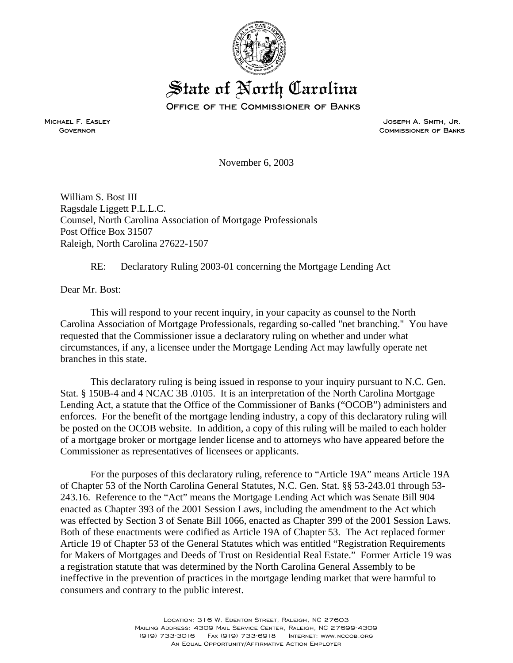

## State of North Carolina

Office of the Commissioner of Banks

Michael F. Easley **GOVERNOR** 

Joseph A. Smith, Jr. Commissioner of Banks

November 6, 2003

William S. Bost III Ragsdale Liggett P.L.L.C. Counsel, North Carolina Association of Mortgage Professionals Post Office Box 31507 Raleigh, North Carolina 27622-1507

## RE: Declaratory Ruling 2003-01 concerning the Mortgage Lending Act

Dear Mr. Bost:

This will respond to your recent inquiry, in your capacity as counsel to the North Carolina Association of Mortgage Professionals, regarding so-called "net branching." You have requested that the Commissioner issue a declaratory ruling on whether and under what circumstances, if any, a licensee under the Mortgage Lending Act may lawfully operate net branches in this state.

This declaratory ruling is being issued in response to your inquiry pursuant to N.C. Gen. Stat. § 150B-4 and 4 NCAC 3B .0105. It is an interpretation of the North Carolina Mortgage Lending Act, a statute that the Office of the Commissioner of Banks ("OCOB") administers and enforces. For the benefit of the mortgage lending industry, a copy of this declaratory ruling will be posted on the OCOB website. In addition, a copy of this ruling will be mailed to each holder of a mortgage broker or mortgage lender license and to attorneys who have appeared before the Commissioner as representatives of licensees or applicants.

For the purposes of this declaratory ruling, reference to "Article 19A" means Article 19A of Chapter 53 of the North Carolina General Statutes, N.C. Gen. Stat. §§ 53-243.01 through 53- 243.16. Reference to the "Act" means the Mortgage Lending Act which was Senate Bill 904 enacted as Chapter 393 of the 2001 Session Laws, including the amendment to the Act which was effected by Section 3 of Senate Bill 1066, enacted as Chapter 399 of the 2001 Session Laws. Both of these enactments were codified as Article 19A of Chapter 53. The Act replaced former Article 19 of Chapter 53 of the General Statutes which was entitled "Registration Requirements for Makers of Mortgages and Deeds of Trust on Residential Real Estate." Former Article 19 was a registration statute that was determined by the North Carolina General Assembly to be ineffective in the prevention of practices in the mortgage lending market that were harmful to consumers and contrary to the public interest.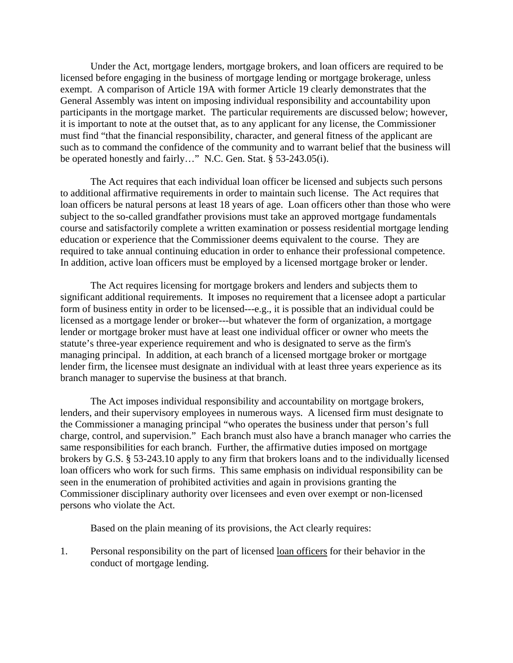Under the Act, mortgage lenders, mortgage brokers, and loan officers are required to be licensed before engaging in the business of mortgage lending or mortgage brokerage, unless exempt. A comparison of Article 19A with former Article 19 clearly demonstrates that the General Assembly was intent on imposing individual responsibility and accountability upon participants in the mortgage market. The particular requirements are discussed below; however, it is important to note at the outset that, as to any applicant for any license, the Commissioner must find "that the financial responsibility, character, and general fitness of the applicant are such as to command the confidence of the community and to warrant belief that the business will be operated honestly and fairly…" N.C. Gen. Stat. § 53-243.05(i).

The Act requires that each individual loan officer be licensed and subjects such persons to additional affirmative requirements in order to maintain such license. The Act requires that loan officers be natural persons at least 18 years of age. Loan officers other than those who were subject to the so-called grandfather provisions must take an approved mortgage fundamentals course and satisfactorily complete a written examination or possess residential mortgage lending education or experience that the Commissioner deems equivalent to the course. They are required to take annual continuing education in order to enhance their professional competence. In addition, active loan officers must be employed by a licensed mortgage broker or lender.

The Act requires licensing for mortgage brokers and lenders and subjects them to significant additional requirements. It imposes no requirement that a licensee adopt a particular form of business entity in order to be licensed---e.g., it is possible that an individual could be licensed as a mortgage lender or broker---but whatever the form of organization, a mortgage lender or mortgage broker must have at least one individual officer or owner who meets the statute's three-year experience requirement and who is designated to serve as the firm's managing principal. In addition, at each branch of a licensed mortgage broker or mortgage lender firm, the licensee must designate an individual with at least three years experience as its branch manager to supervise the business at that branch.

The Act imposes individual responsibility and accountability on mortgage brokers, lenders, and their supervisory employees in numerous ways. A licensed firm must designate to the Commissioner a managing principal "who operates the business under that person's full charge, control, and supervision." Each branch must also have a branch manager who carries the same responsibilities for each branch. Further, the affirmative duties imposed on mortgage brokers by G.S. § 53-243.10 apply to any firm that brokers loans and to the individually licensed loan officers who work for such firms. This same emphasis on individual responsibility can be seen in the enumeration of prohibited activities and again in provisions granting the Commissioner disciplinary authority over licensees and even over exempt or non-licensed persons who violate the Act.

Based on the plain meaning of its provisions, the Act clearly requires:

1. Personal responsibility on the part of licensed loan officers for their behavior in the conduct of mortgage lending.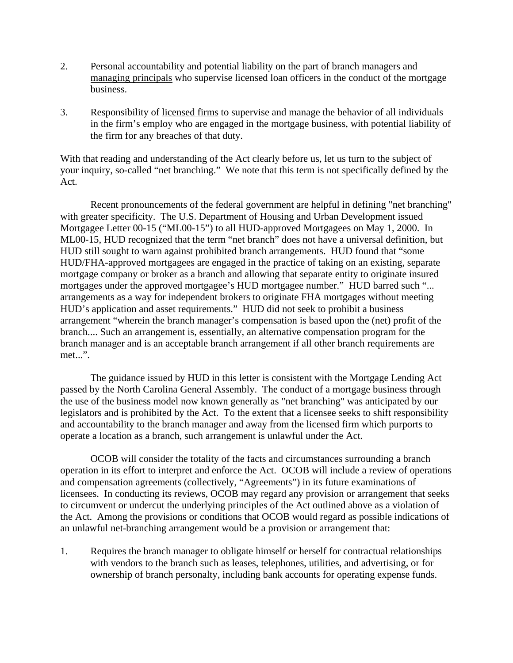- 2. Personal accountability and potential liability on the part of branch managers and managing principals who supervise licensed loan officers in the conduct of the mortgage business.
- 3. Responsibility of licensed firms to supervise and manage the behavior of all individuals in the firm's employ who are engaged in the mortgage business, with potential liability of the firm for any breaches of that duty.

With that reading and understanding of the Act clearly before us, let us turn to the subject of your inquiry, so-called "net branching." We note that this term is not specifically defined by the Act.

Recent pronouncements of the federal government are helpful in defining "net branching" with greater specificity. The U.S. Department of Housing and Urban Development issued Mortgagee Letter 00-15 ("ML00-15") to all HUD-approved Mortgagees on May 1, 2000. In ML00-15, HUD recognized that the term "net branch" does not have a universal definition, but HUD still sought to warn against prohibited branch arrangements. HUD found that "some HUD/FHA-approved mortgagees are engaged in the practice of taking on an existing, separate mortgage company or broker as a branch and allowing that separate entity to originate insured mortgages under the approved mortgagee's HUD mortgagee number." HUD barred such "... arrangements as a way for independent brokers to originate FHA mortgages without meeting HUD's application and asset requirements." HUD did not seek to prohibit a business arrangement "wherein the branch manager's compensation is based upon the (net) profit of the branch.... Such an arrangement is, essentially, an alternative compensation program for the branch manager and is an acceptable branch arrangement if all other branch requirements are met...".

The guidance issued by HUD in this letter is consistent with the Mortgage Lending Act passed by the North Carolina General Assembly. The conduct of a mortgage business through the use of the business model now known generally as "net branching" was anticipated by our legislators and is prohibited by the Act. To the extent that a licensee seeks to shift responsibility and accountability to the branch manager and away from the licensed firm which purports to operate a location as a branch, such arrangement is unlawful under the Act.

OCOB will consider the totality of the facts and circumstances surrounding a branch operation in its effort to interpret and enforce the Act. OCOB will include a review of operations and compensation agreements (collectively, "Agreements") in its future examinations of licensees. In conducting its reviews, OCOB may regard any provision or arrangement that seeks to circumvent or undercut the underlying principles of the Act outlined above as a violation of the Act. Among the provisions or conditions that OCOB would regard as possible indications of an unlawful net-branching arrangement would be a provision or arrangement that:

1. Requires the branch manager to obligate himself or herself for contractual relationships with vendors to the branch such as leases, telephones, utilities, and advertising, or for ownership of branch personalty, including bank accounts for operating expense funds.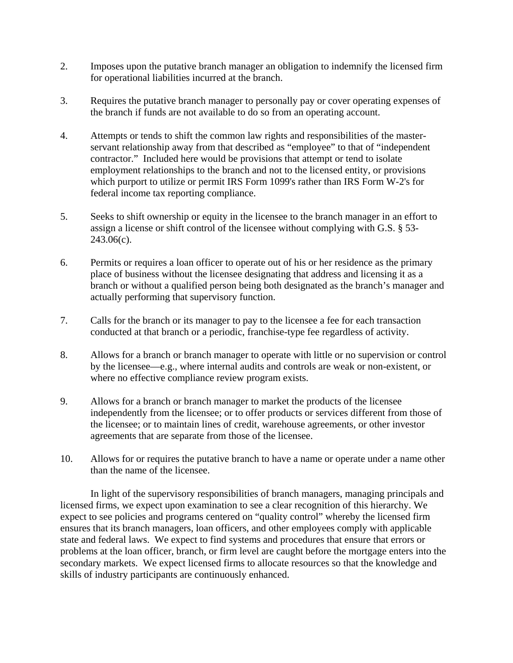- 2. Imposes upon the putative branch manager an obligation to indemnify the licensed firm for operational liabilities incurred at the branch.
- 3. Requires the putative branch manager to personally pay or cover operating expenses of the branch if funds are not available to do so from an operating account.
- 4. Attempts or tends to shift the common law rights and responsibilities of the masterservant relationship away from that described as "employee" to that of "independent contractor." Included here would be provisions that attempt or tend to isolate employment relationships to the branch and not to the licensed entity, or provisions which purport to utilize or permit IRS Form 1099's rather than IRS Form W-2's for federal income tax reporting compliance.
- 5. Seeks to shift ownership or equity in the licensee to the branch manager in an effort to assign a license or shift control of the licensee without complying with G.S. § 53- 243.06(c).
- 6. Permits or requires a loan officer to operate out of his or her residence as the primary place of business without the licensee designating that address and licensing it as a branch or without a qualified person being both designated as the branch's manager and actually performing that supervisory function.
- 7. Calls for the branch or its manager to pay to the licensee a fee for each transaction conducted at that branch or a periodic, franchise-type fee regardless of activity.
- 8. Allows for a branch or branch manager to operate with little or no supervision or control by the licensee—e.g., where internal audits and controls are weak or non-existent, or where no effective compliance review program exists.
- 9. Allows for a branch or branch manager to market the products of the licensee independently from the licensee; or to offer products or services different from those of the licensee; or to maintain lines of credit, warehouse agreements, or other investor agreements that are separate from those of the licensee.
- 10. Allows for or requires the putative branch to have a name or operate under a name other than the name of the licensee.

In light of the supervisory responsibilities of branch managers, managing principals and licensed firms, we expect upon examination to see a clear recognition of this hierarchy. We expect to see policies and programs centered on "quality control" whereby the licensed firm ensures that its branch managers, loan officers, and other employees comply with applicable state and federal laws. We expect to find systems and procedures that ensure that errors or problems at the loan officer, branch, or firm level are caught before the mortgage enters into the secondary markets. We expect licensed firms to allocate resources so that the knowledge and skills of industry participants are continuously enhanced.